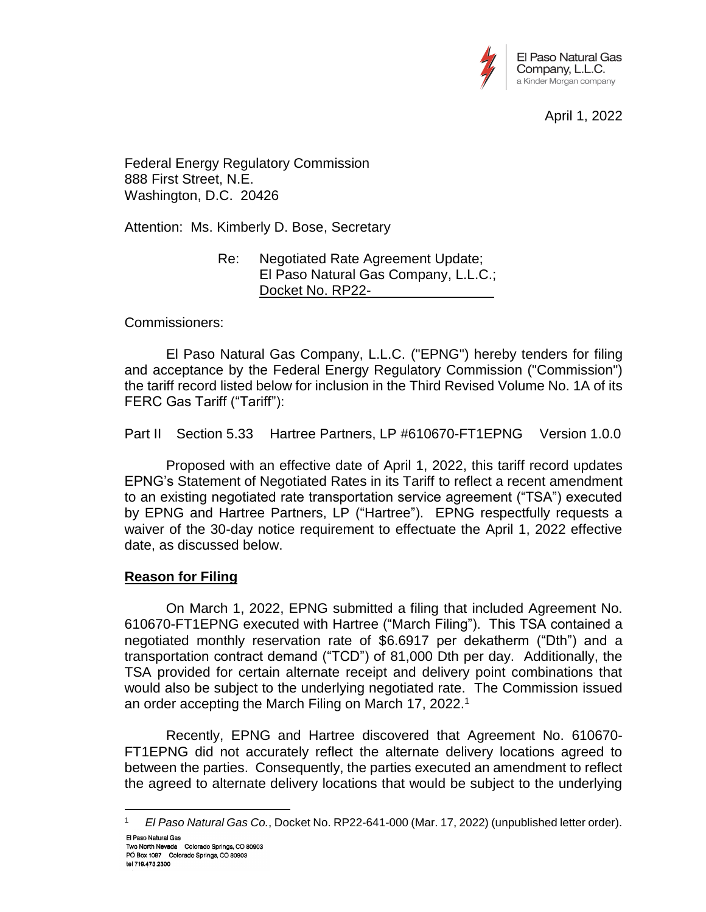

April 1, 2022

Federal Energy Regulatory Commission 888 First Street, N.E. Washington, D.C. 20426

Attention: Ms. Kimberly D. Bose, Secretary

Re: Negotiated Rate Agreement Update; El Paso Natural Gas Company, L.L.C.; Docket No. RP22-

Commissioners:

El Paso Natural Gas Company, L.L.C. ("EPNG") hereby tenders for filing and acceptance by the Federal Energy Regulatory Commission ("Commission") the tariff record listed below for inclusion in the Third Revised Volume No. 1A of its FERC Gas Tariff ("Tariff"):

Part II Section 5.33 Hartree Partners, LP #610670-FT1EPNG Version 1.0.0

Proposed with an effective date of April 1, 2022, this tariff record updates EPNG's Statement of Negotiated Rates in its Tariff to reflect a recent amendment to an existing negotiated rate transportation service agreement ("TSA") executed by EPNG and Hartree Partners, LP ("Hartree"). EPNG respectfully requests a waiver of the 30-day notice requirement to effectuate the April 1, 2022 effective date, as discussed below.

## **Reason for Filing**

On March 1, 2022, EPNG submitted a filing that included Agreement No. 610670-FT1EPNG executed with Hartree ("March Filing"). This TSA contained a negotiated monthly reservation rate of \$6.6917 per dekatherm ("Dth") and a transportation contract demand ("TCD") of 81,000 Dth per day. Additionally, the TSA provided for certain alternate receipt and delivery point combinations that would also be subject to the underlying negotiated rate. The Commission issued an order accepting the March Filing on March 17, 2022. 1

Recently, EPNG and Hartree discovered that Agreement No. 610670- FT1EPNG did not accurately reflect the alternate delivery locations agreed to between the parties. Consequently, the parties executed an amendment to reflect the agreed to alternate delivery locations that would be subject to the underlying

<sup>1</sup> *El Paso Natural Gas Co.*, Docket No. RP22-641-000 (Mar. 17, 2022) (unpublished letter order).El Paso Natural Gas Two North Nevada Colorado Springs, CO 80903

 $\overline{a}$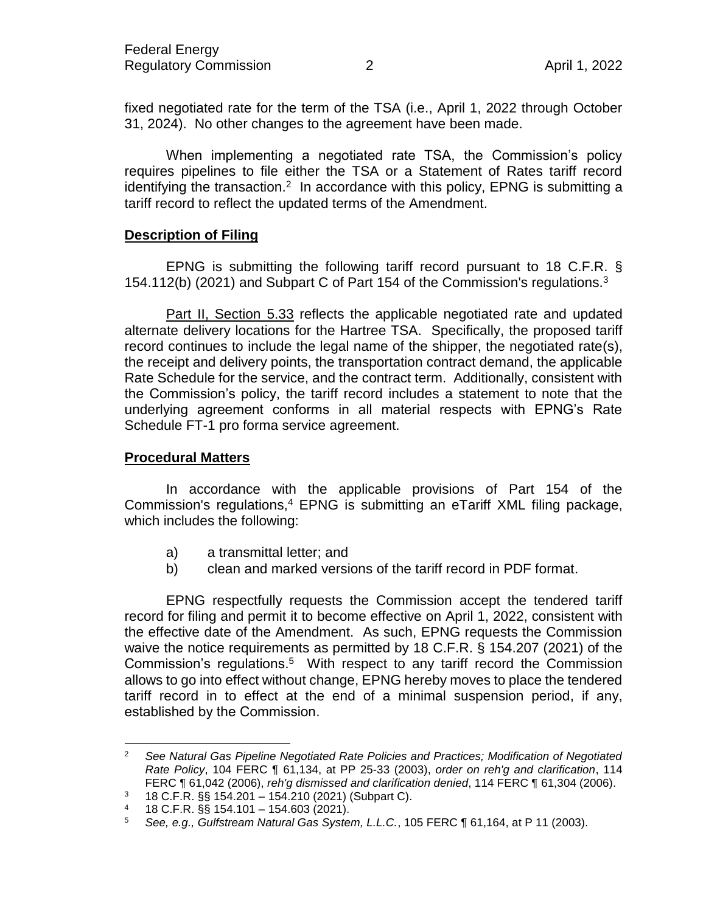fixed negotiated rate for the term of the TSA (i.e., April 1, 2022 through October 31, 2024). No other changes to the agreement have been made.

When implementing a negotiated rate TSA, the Commission's policy requires pipelines to file either the TSA or a Statement of Rates tariff record identifying the transaction.<sup>2</sup> In accordance with this policy, EPNG is submitting a tariff record to reflect the updated terms of the Amendment.

## **Description of Filing**

EPNG is submitting the following tariff record pursuant to 18 C.F.R. § 154.112(b) (2021) and Subpart C of Part 154 of the Commission's regulations.<sup>3</sup>

Part II, Section 5.33 reflects the applicable negotiated rate and updated alternate delivery locations for the Hartree TSA. Specifically, the proposed tariff record continues to include the legal name of the shipper, the negotiated rate(s), the receipt and delivery points, the transportation contract demand, the applicable Rate Schedule for the service, and the contract term. Additionally, consistent with the Commission's policy, the tariff record includes a statement to note that the underlying agreement conforms in all material respects with EPNG's Rate Schedule FT-1 pro forma service agreement.

## **Procedural Matters**

 $\overline{a}$ 

In accordance with the applicable provisions of Part 154 of the Commission's regulations,<sup>4</sup> EPNG is submitting an eTariff XML filing package, which includes the following:

- a) a transmittal letter; and
- b) clean and marked versions of the tariff record in PDF format.

EPNG respectfully requests the Commission accept the tendered tariff record for filing and permit it to become effective on April 1, 2022, consistent with the effective date of the Amendment. As such, EPNG requests the Commission waive the notice requirements as permitted by 18 C.F.R. § 154.207 (2021) of the Commission's regulations.<sup>5</sup> With respect to any tariff record the Commission allows to go into effect without change, EPNG hereby moves to place the tendered tariff record in to effect at the end of a minimal suspension period, if any, established by the Commission.

<sup>2</sup> *See Natural Gas Pipeline Negotiated Rate Policies and Practices; Modification of Negotiated Rate Policy*, 104 FERC ¶ 61,134, at PP 25-33 (2003), *order on reh'g and clarification*, 114 FERC ¶ 61,042 (2006), *reh'g dismissed and clarification denied*, 114 FERC ¶ 61,304 (2006).

<sup>3</sup> 18 C.F.R. §§ 154.201 – 154.210 (2021) (Subpart C).

<sup>4 18</sup> C.F.R.  $\S$ § 154.101 – 154.603 (2021).

<sup>5</sup> *See, e.g., Gulfstream Natural Gas System, L.L.C.*, 105 FERC ¶ 61,164, at P 11 (2003).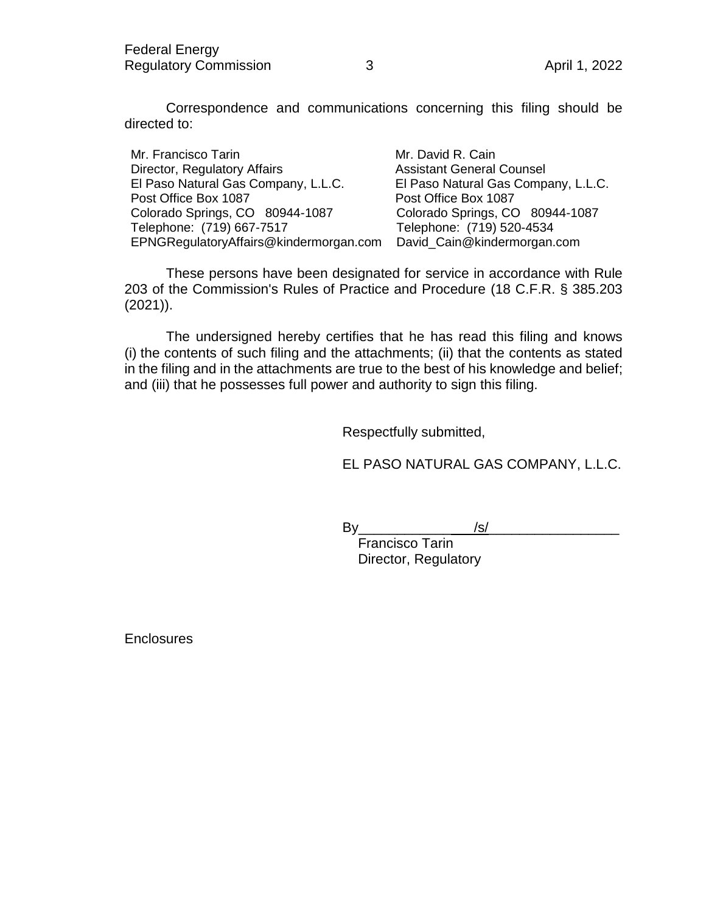Correspondence and communications concerning this filing should be directed to:

Mr. Francisco Tarin Mr. David R. Cain Director, Regulatory Affairs **Assistant General Counsel** El Paso Natural Gas Company, L.L.C. El Paso Natural Gas Company, L.L.C. Post Office Box 1087 Post Office Box 1087 Colorado Springs, CO 80944-1087 Colorado Springs, CO 80944-1087 Telephone: (719) 667-7517 Telephone: (719) 520-4534 EPNGRegulatoryAffairs@kindermorgan.com David\_Cain@kindermorgan.com

These persons have been designated for service in accordance with Rule 203 of the Commission's Rules of Practice and Procedure (18 C.F.R. § 385.203 (2021)).

The undersigned hereby certifies that he has read this filing and knows (i) the contents of such filing and the attachments; (ii) that the contents as stated in the filing and in the attachments are true to the best of his knowledge and belief; and (iii) that he possesses full power and authority to sign this filing.

Respectfully submitted,

EL PASO NATURAL GAS COMPANY, L.L.C.

By  $\qquad \qquad$  /s/

Francisco Tarin Director, Regulatory

**Enclosures**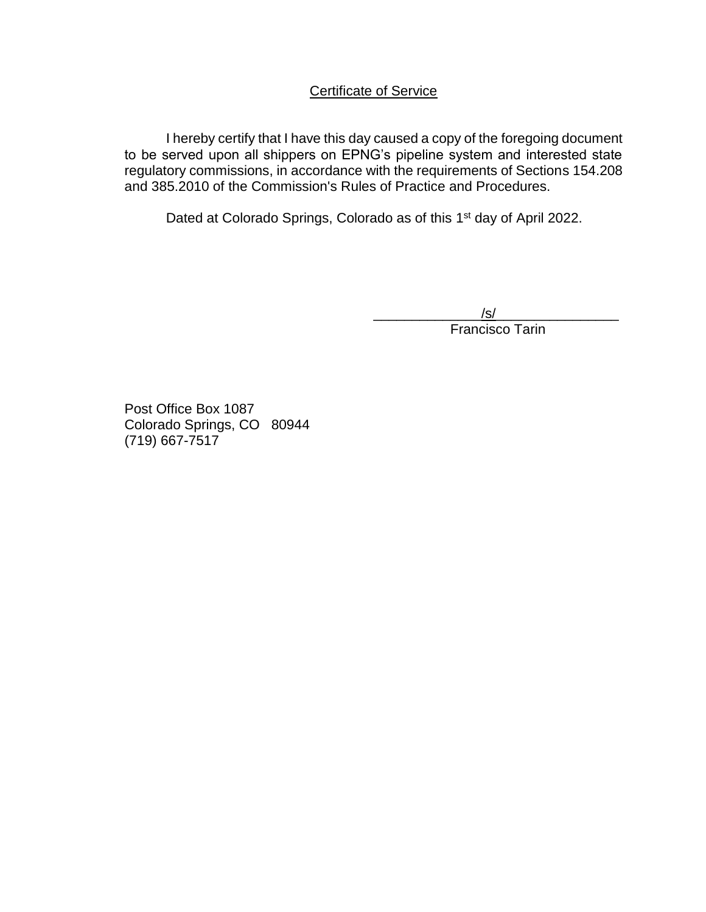# Certificate of Service

I hereby certify that I have this day caused a copy of the foregoing document to be served upon all shippers on EPNG's pipeline system and interested state regulatory commissions, in accordance with the requirements of Sections 154.208 and 385.2010 of the Commission's Rules of Practice and Procedures.

Dated at Colorado Springs, Colorado as of this 1<sup>st</sup> day of April 2022.

 $/\mathsf{s}/$ **Francisco Tarin** 

Post Office Box 1087 Colorado Springs, CO 80944 (719) 667-7517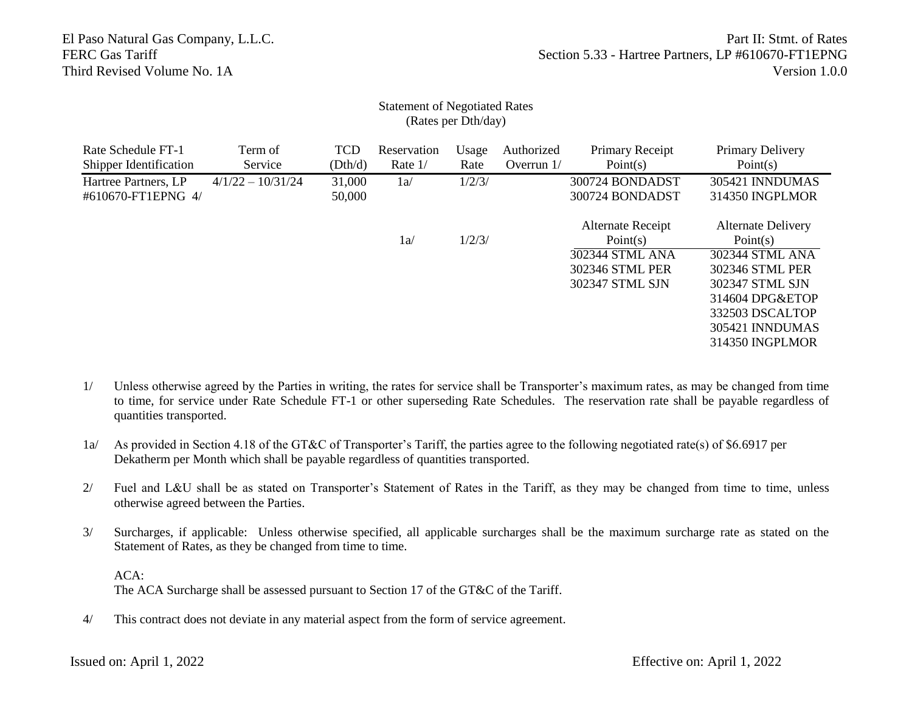### Statement of Negotiated Rates (Rates per Dth/day)

| Rate Schedule FT-1<br>Shipper Identification   | Term of<br>Service  | <b>TCD</b><br>(Dth/d) | Reservation<br>Rate $1/$ | Usage<br>Rate | Authorized<br>Overrun $1/$ | Primary Receipt<br>Point(s)                                                            | Primary Delivery<br>Point(s)                                                                                                                                               |
|------------------------------------------------|---------------------|-----------------------|--------------------------|---------------|----------------------------|----------------------------------------------------------------------------------------|----------------------------------------------------------------------------------------------------------------------------------------------------------------------------|
| Hartree Partners, LP<br>$\#610670$ -FT1EPNG 4/ | $4/1/22 - 10/31/24$ | 31,000<br>50,000      | 1a/                      | 1/2/3/        |                            | 300724 BONDADST<br>300724 BONDADST                                                     | 305421 INNDUMAS<br>314350 INGPLMOR                                                                                                                                         |
|                                                |                     |                       | 1a/                      | 1/2/3/        |                            | Alternate Receipt<br>Point(s)<br>302344 STML ANA<br>302346 STML PER<br>302347 STML SJN | <b>Alternate Delivery</b><br>Point(s)<br>302344 STML ANA<br>302346 STML PER<br>302347 STML SJN<br>314604 DPG&ETOP<br>332503 DSCALTOP<br>305421 INNDUMAS<br>314350 INGPLMOR |

- 1/ Unless otherwise agreed by the Parties in writing, the rates for service shall be Transporter's maximum rates, as may be changed from time to time, for service under Rate Schedule FT-1 or other superseding Rate Schedules. The reservation rate shall be payable regardless of quantities transported.
- 1a/ As provided in Section 4.18 of the GT&C of Transporter's Tariff, the parties agree to the following negotiated rate(s) of \$6.6917 per Dekatherm per Month which shall be payable regardless of quantities transported.
- 2/ Fuel and L&U shall be as stated on Transporter's Statement of Rates in the Tariff, as they may be changed from time to time, unless otherwise agreed between the Parties.
- 3/ Surcharges, if applicable: Unless otherwise specified, all applicable surcharges shall be the maximum surcharge rate as stated on the Statement of Rates, as they be changed from time to time.

ACA: The ACA Surcharge shall be assessed pursuant to Section 17 of the GT&C of the Tariff.

4/ This contract does not deviate in any material aspect from the form of service agreement.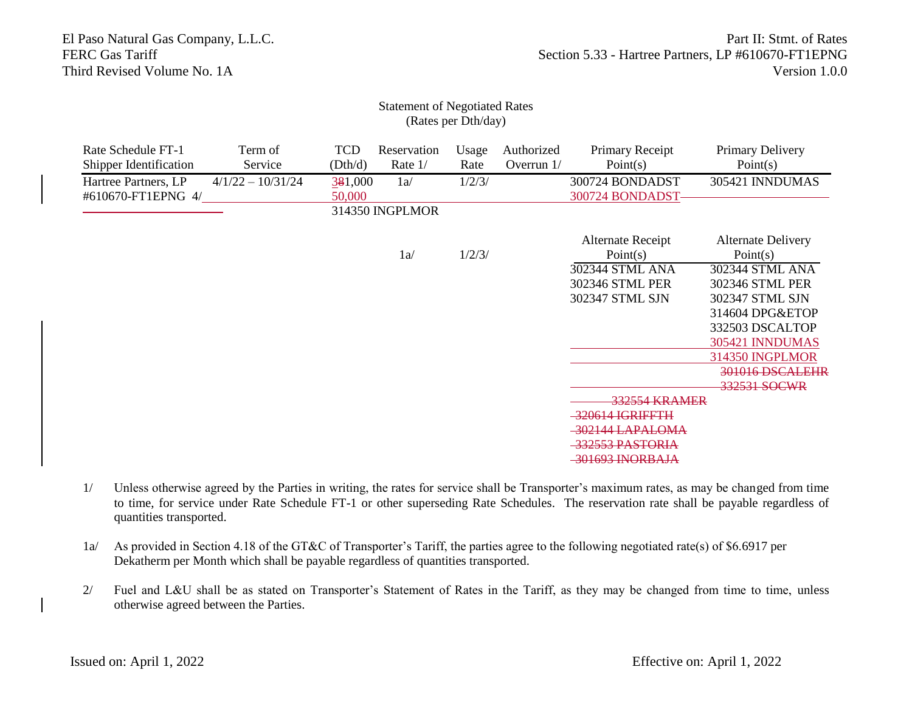#### Statement of Negotiated Rates (Rates per Dth/day)

| Rate Schedule FT-1<br>Term of<br>Shipper Identification<br>Service | <b>TCD</b><br>(Dth/d) | Reservation<br>Rate 1/ | Usage<br>Rate | Authorized<br>Overrun $1/$ | Primary Receipt<br>Point $(s)$      | Primary Delivery<br>Point(s)          |
|--------------------------------------------------------------------|-----------------------|------------------------|---------------|----------------------------|-------------------------------------|---------------------------------------|
| Hartree Partners, LP<br>$4/1/22 - 10/31/24$<br>#610670-FT1EPNG 4/  | 381,000<br>50,000     | 1a/                    | 1/2/3/        |                            | 300724 BONDADST<br>300724 BONDADST- | 305421 INNDUMAS                       |
|                                                                    |                       | 314350 INGPLMOR        |               |                            |                                     |                                       |
|                                                                    |                       | 1a/                    | 1/2/3/        |                            | Alternate Receipt<br>Point(s)       | <b>Alternate Delivery</b><br>Point(s) |
|                                                                    |                       |                        |               |                            | 302344 STML ANA<br>302346 STML PER  | 302344 STML ANA<br>302346 STML PER    |
|                                                                    |                       |                        |               |                            | 302347 STML SJN                     | 302347 STML SJN                       |
|                                                                    |                       |                        |               |                            |                                     | 314604 DPG&ETOP<br>332503 DSCALTOP    |
|                                                                    |                       |                        |               |                            |                                     | 305421 INNDUMAS<br>314350 INGPLMOR    |
|                                                                    |                       |                        |               |                            |                                     | 301016 DSCALEHR<br>332531 SOCWR       |
|                                                                    |                       |                        |               |                            | 332554 KRAMER                       |                                       |
|                                                                    |                       |                        |               |                            | 320614 IGRIFFTH<br>302144 LAPALOMA  |                                       |
|                                                                    |                       |                        |               |                            | 332553 PASTORIA<br>301693 INORBAJA  |                                       |

- 1/ Unless otherwise agreed by the Parties in writing, the rates for service shall be Transporter's maximum rates, as may be changed from time to time, for service under Rate Schedule FT-1 or other superseding Rate Schedules. The reservation rate shall be payable regardless of quantities transported.
- 1a/ As provided in Section 4.18 of the GT&C of Transporter's Tariff, the parties agree to the following negotiated rate(s) of \$6.6917 per Dekatherm per Month which shall be payable regardless of quantities transported.
- 2/ Fuel and L&U shall be as stated on Transporter's Statement of Rates in the Tariff, as they may be changed from time to time, unless otherwise agreed between the Parties.